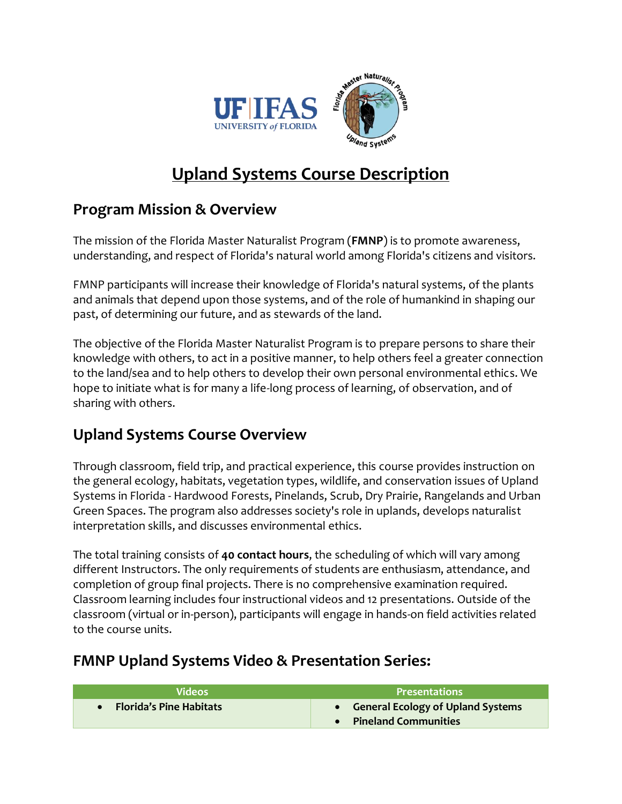

# **Upland Systems Course Description**

### **Program Mission & Overview**

The mission of the Florida Master Naturalist Program (**FMNP**) is to promote awareness, understanding, and respect of Florida's natural world among Florida's citizens and visitors.

FMNP participants will increase their knowledge of Florida's natural systems, of the plants and animals that depend upon those systems, and of the role of humankind in shaping our past, of determining our future, and as stewards of the land.

The objective of the Florida Master Naturalist Program is to prepare persons to share their knowledge with others, to act in a positive manner, to help others feel a greater connection to the land/sea and to help others to develop their own personal environmental ethics. We hope to initiate what is for many a life-long process of learning, of observation, and of sharing with others.

## **Upland Systems Course Overview**

Through classroom, field trip, and practical experience, this course provides instruction on the general ecology, habitats, vegetation types, wildlife, and conservation issues of Upland Systems in Florida - Hardwood Forests, Pinelands, Scrub, Dry Prairie, Rangelands and Urban Green Spaces. The program also addresses society's role in uplands, develops naturalist interpretation skills, and discusses environmental ethics.

The total training consists of **40 contact hours**, the scheduling of which will vary among different Instructors. The only requirements of students are enthusiasm, attendance, and completion of group final projects. There is no comprehensive examination required. Classroom learning includes four instructional videos and 12 presentations. Outside of the classroom (virtual or in-person), participants will engage in hands-on field activities related to the course units.

#### **FMNP Upland Systems Video & Presentation Series:**

| <b>Videos</b>                  | <b>Presentations</b>                                          |
|--------------------------------|---------------------------------------------------------------|
| <b>Florida's Pine Habitats</b> | • General Ecology of Upland Systems<br>• Pineland Communities |